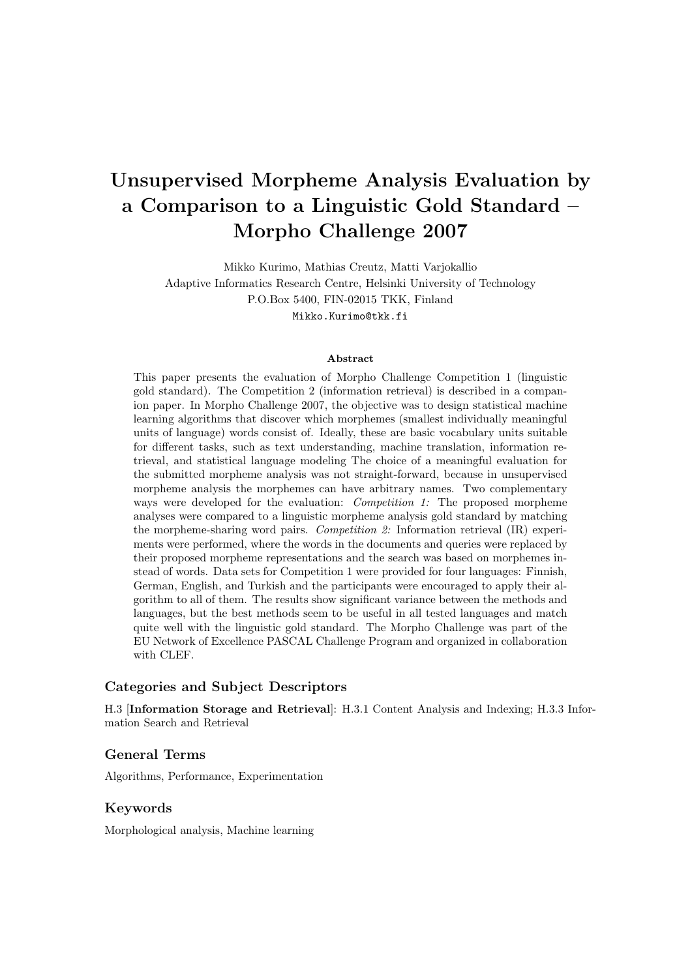# Unsupervised Morpheme Analysis Evaluation by a Comparison to a Linguistic Gold Standard – Morpho Challenge 2007

Mikko Kurimo, Mathias Creutz, Matti Varjokallio Adaptive Informatics Research Centre, Helsinki University of Technology P.O.Box 5400, FIN-02015 TKK, Finland Mikko.Kurimo@tkk.fi

#### Abstract

This paper presents the evaluation of Morpho Challenge Competition 1 (linguistic gold standard). The Competition 2 (information retrieval) is described in a companion paper. In Morpho Challenge 2007, the objective was to design statistical machine learning algorithms that discover which morphemes (smallest individually meaningful units of language) words consist of. Ideally, these are basic vocabulary units suitable for different tasks, such as text understanding, machine translation, information retrieval, and statistical language modeling The choice of a meaningful evaluation for the submitted morpheme analysis was not straight-forward, because in unsupervised morpheme analysis the morphemes can have arbitrary names. Two complementary ways were developed for the evaluation: *Competition 1:* The proposed morpheme analyses were compared to a linguistic morpheme analysis gold standard by matching the morpheme-sharing word pairs. Competition 2: Information retrieval (IR) experiments were performed, where the words in the documents and queries were replaced by their proposed morpheme representations and the search was based on morphemes instead of words. Data sets for Competition 1 were provided for four languages: Finnish, German, English, and Turkish and the participants were encouraged to apply their algorithm to all of them. The results show significant variance between the methods and languages, but the best methods seem to be useful in all tested languages and match quite well with the linguistic gold standard. The Morpho Challenge was part of the EU Network of Excellence PASCAL Challenge Program and organized in collaboration with CLEF.

#### Categories and Subject Descriptors

H.3 [Information Storage and Retrieval]: H.3.1 Content Analysis and Indexing; H.3.3 Information Search and Retrieval

#### General Terms

Algorithms, Performance, Experimentation

#### Keywords

Morphological analysis, Machine learning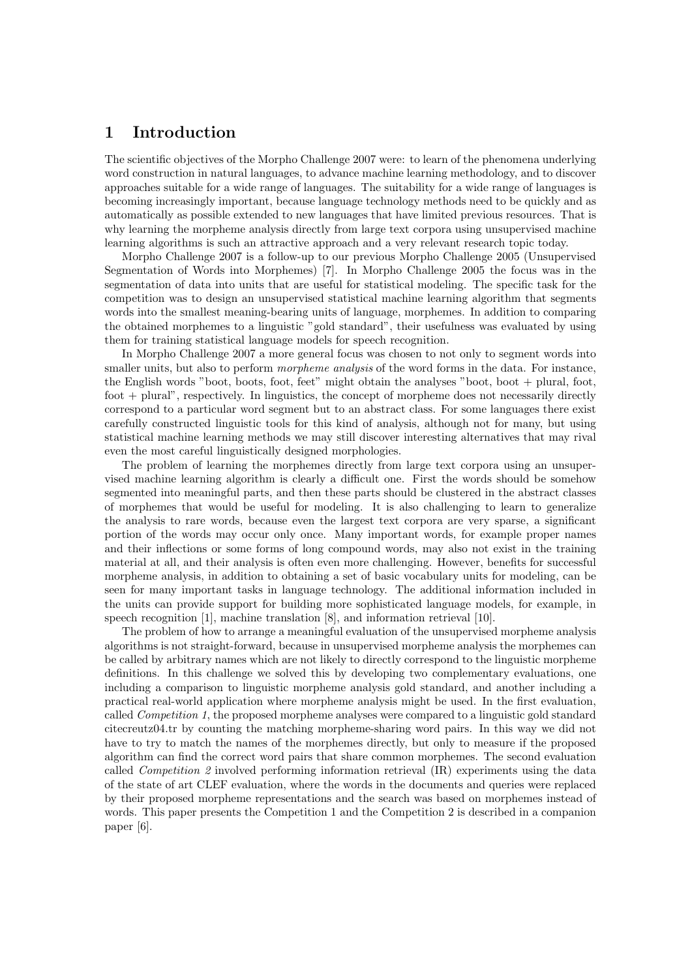# 1 Introduction

The scientific objectives of the Morpho Challenge 2007 were: to learn of the phenomena underlying word construction in natural languages, to advance machine learning methodology, and to discover approaches suitable for a wide range of languages. The suitability for a wide range of languages is becoming increasingly important, because language technology methods need to be quickly and as automatically as possible extended to new languages that have limited previous resources. That is why learning the morpheme analysis directly from large text corpora using unsupervised machine learning algorithms is such an attractive approach and a very relevant research topic today.

Morpho Challenge 2007 is a follow-up to our previous Morpho Challenge 2005 (Unsupervised Segmentation of Words into Morphemes) [7]. In Morpho Challenge 2005 the focus was in the segmentation of data into units that are useful for statistical modeling. The specific task for the competition was to design an unsupervised statistical machine learning algorithm that segments words into the smallest meaning-bearing units of language, morphemes. In addition to comparing the obtained morphemes to a linguistic "gold standard", their usefulness was evaluated by using them for training statistical language models for speech recognition.

In Morpho Challenge 2007 a more general focus was chosen to not only to segment words into smaller units, but also to perform *morpheme analysis* of the word forms in the data. For instance, the English words "boot, boots, foot, feet" might obtain the analyses "boot, boot + plural, foot, foot + plural", respectively. In linguistics, the concept of morpheme does not necessarily directly correspond to a particular word segment but to an abstract class. For some languages there exist carefully constructed linguistic tools for this kind of analysis, although not for many, but using statistical machine learning methods we may still discover interesting alternatives that may rival even the most careful linguistically designed morphologies.

The problem of learning the morphemes directly from large text corpora using an unsupervised machine learning algorithm is clearly a difficult one. First the words should be somehow segmented into meaningful parts, and then these parts should be clustered in the abstract classes of morphemes that would be useful for modeling. It is also challenging to learn to generalize the analysis to rare words, because even the largest text corpora are very sparse, a significant portion of the words may occur only once. Many important words, for example proper names and their inflections or some forms of long compound words, may also not exist in the training material at all, and their analysis is often even more challenging. However, benefits for successful morpheme analysis, in addition to obtaining a set of basic vocabulary units for modeling, can be seen for many important tasks in language technology. The additional information included in the units can provide support for building more sophisticated language models, for example, in speech recognition [1], machine translation [8], and information retrieval [10].

The problem of how to arrange a meaningful evaluation of the unsupervised morpheme analysis algorithms is not straight-forward, because in unsupervised morpheme analysis the morphemes can be called by arbitrary names which are not likely to directly correspond to the linguistic morpheme definitions. In this challenge we solved this by developing two complementary evaluations, one including a comparison to linguistic morpheme analysis gold standard, and another including a practical real-world application where morpheme analysis might be used. In the first evaluation, called Competition 1, the proposed morpheme analyses were compared to a linguistic gold standard citecreutz04.tr by counting the matching morpheme-sharing word pairs. In this way we did not have to try to match the names of the morphemes directly, but only to measure if the proposed algorithm can find the correct word pairs that share common morphemes. The second evaluation called Competition 2 involved performing information retrieval (IR) experiments using the data of the state of art CLEF evaluation, where the words in the documents and queries were replaced by their proposed morpheme representations and the search was based on morphemes instead of words. This paper presents the Competition 1 and the Competition 2 is described in a companion paper [6].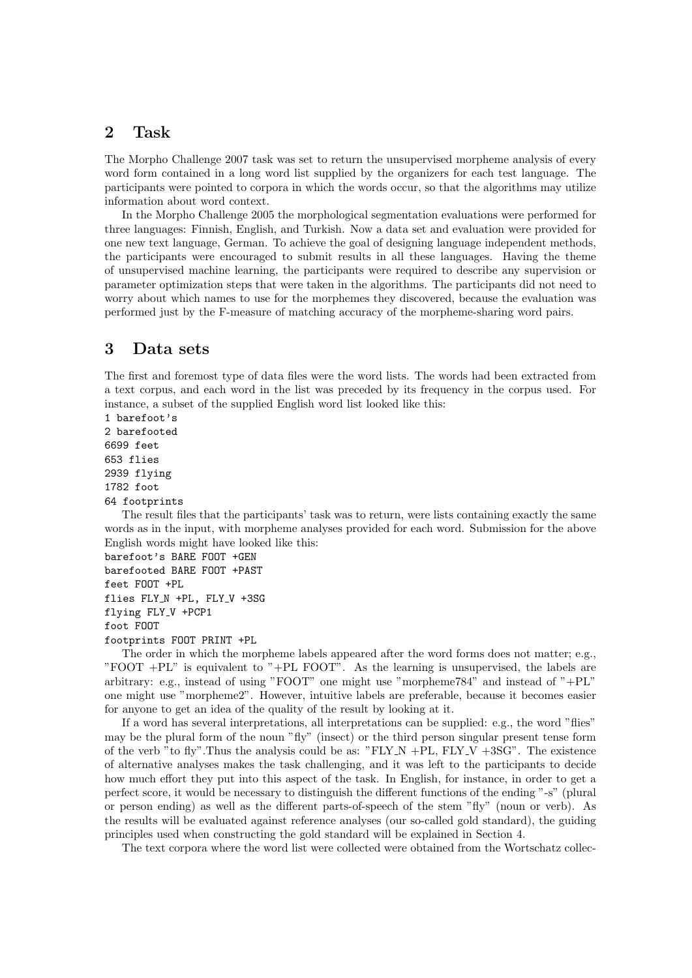# 2 Task

The Morpho Challenge 2007 task was set to return the unsupervised morpheme analysis of every word form contained in a long word list supplied by the organizers for each test language. The participants were pointed to corpora in which the words occur, so that the algorithms may utilize information about word context.

In the Morpho Challenge 2005 the morphological segmentation evaluations were performed for three languages: Finnish, English, and Turkish. Now a data set and evaluation were provided for one new text language, German. To achieve the goal of designing language independent methods, the participants were encouraged to submit results in all these languages. Having the theme of unsupervised machine learning, the participants were required to describe any supervision or parameter optimization steps that were taken in the algorithms. The participants did not need to worry about which names to use for the morphemes they discovered, because the evaluation was performed just by the F-measure of matching accuracy of the morpheme-sharing word pairs.

# 3 Data sets

The first and foremost type of data files were the word lists. The words had been extracted from a text corpus, and each word in the list was preceded by its frequency in the corpus used. For instance, a subset of the supplied English word list looked like this:

1 barefoot's 2 barefooted 6699 feet 653 flies 2939 flying 1782 foot 64 footprints

The result files that the participants' task was to return, were lists containing exactly the same words as in the input, with morpheme analyses provided for each word. Submission for the above English words might have looked like this:

barefoot's BARE FOOT +GEN barefooted BARE FOOT +PAST feet FOOT +PL flies FLY\_N +PL, FLY\_V +3SG flying FLY\_V +PCP1 foot FOOT footprints FOOT PRINT +PL

The order in which the morpheme labels appeared after the word forms does not matter; e.g.,  $"FOOT + PL"$  is equivalent to  $"+PL$  FOOT". As the learning is unsupervised, the labels are arbitrary: e.g., instead of using "FOOT" one might use "morpheme784" and instead of "+PL" one might use "morpheme2". However, intuitive labels are preferable, because it becomes easier for anyone to get an idea of the quality of the result by looking at it.

If a word has several interpretations, all interpretations can be supplied: e.g., the word "flies" may be the plural form of the noun "fly" (insect) or the third person singular present tense form of the verb "to fly". Thus the analysis could be as: " $FLY_N +PL$ ,  $FLY_V +3SG$ ". The existence of alternative analyses makes the task challenging, and it was left to the participants to decide how much effort they put into this aspect of the task. In English, for instance, in order to get a perfect score, it would be necessary to distinguish the different functions of the ending "-s" (plural or person ending) as well as the different parts-of-speech of the stem "fly" (noun or verb). As the results will be evaluated against reference analyses (our so-called gold standard), the guiding principles used when constructing the gold standard will be explained in Section 4.

The text corpora where the word list were collected were obtained from the Wortschatz collec-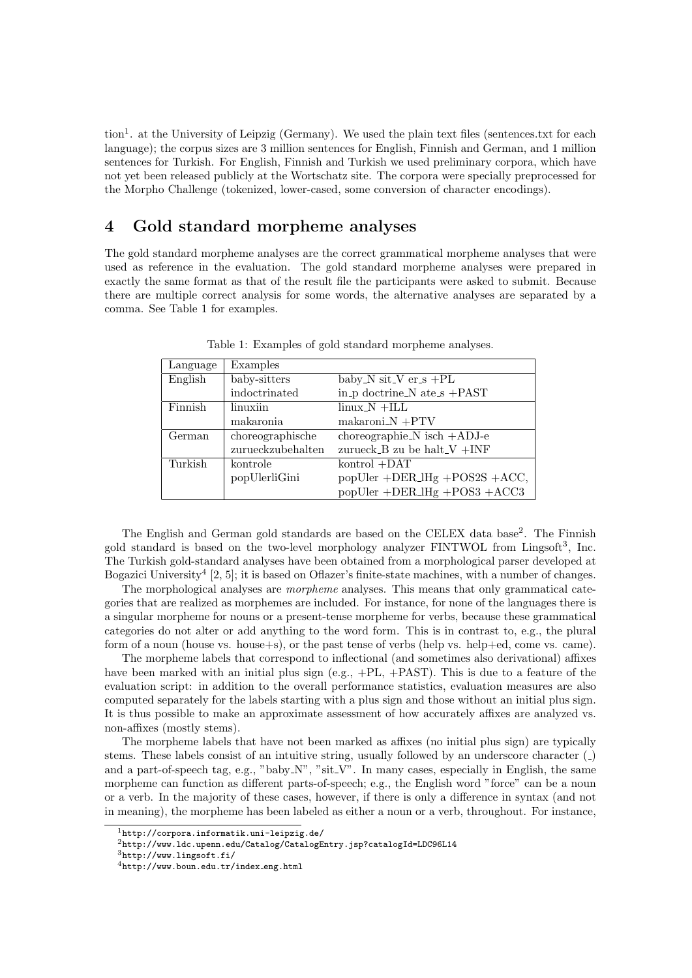tion<sup>1</sup>. at the University of Leipzig (Germany). We used the plain text files (sentences.txt for each language); the corpus sizes are 3 million sentences for English, Finnish and German, and 1 million sentences for Turkish. For English, Finnish and Turkish we used preliminary corpora, which have not yet been released publicly at the Wortschatz site. The corpora were specially preprocessed for the Morpho Challenge (tokenized, lower-cased, some conversion of character encodings).

# 4 Gold standard morpheme analyses

The gold standard morpheme analyses are the correct grammatical morpheme analyses that were used as reference in the evaluation. The gold standard morpheme analyses were prepared in exactly the same format as that of the result file the participants were asked to submit. Because there are multiple correct analysis for some words, the alternative analyses are separated by a comma. See Table 1 for examples.

| Language | Examples          |                                     |
|----------|-------------------|-------------------------------------|
| English  | baby-sitters      | baby_N sit_V $er_s + PL$            |
|          | indoctrinated     | in $-p$ doctrine $N$ ate $s$ + PAST |
| Finnish  | linuxiin          | $\text{linux} \_N + \text{ILL}$     |
|          | makaronia         | $makanoni_N + PTV$                  |
| German   | choreographische  | choreographie_ $N$ isch $+ADJ-e$    |
|          | zurueckzubehalten | zurueck_B zu be halt_V $+$ INF      |
| Turkish  | kontrole          | $kontrol + DAT$                     |
|          | popUlerliGini     | $popUler + DER_IHg + POS2S + ACC,$  |
|          |                   | $popUler + DER_IHg +POS3 + ACC3$    |

Table 1: Examples of gold standard morpheme analyses.

The English and German gold standards are based on the CELEX data base<sup>2</sup>. The Finnish gold standard is based on the two-level morphology analyzer FINTWOL from Lingsoft<sup>3</sup>, Inc. The Turkish gold-standard analyses have been obtained from a morphological parser developed at Bogazici University<sup>4</sup> [2, 5]; it is based on Oflazer's finite-state machines, with a number of changes.

The morphological analyses are morpheme analyses. This means that only grammatical categories that are realized as morphemes are included. For instance, for none of the languages there is a singular morpheme for nouns or a present-tense morpheme for verbs, because these grammatical categories do not alter or add anything to the word form. This is in contrast to, e.g., the plural form of a noun (house vs. house+s), or the past tense of verbs (help vs. help+ed, come vs. came).

The morpheme labels that correspond to inflectional (and sometimes also derivational) affixes have been marked with an initial plus sign (e.g.,  $+PL$ ,  $+PAST$ ). This is due to a feature of the evaluation script: in addition to the overall performance statistics, evaluation measures are also computed separately for the labels starting with a plus sign and those without an initial plus sign. It is thus possible to make an approximate assessment of how accurately affixes are analyzed vs. non-affixes (mostly stems).

The morpheme labels that have not been marked as affixes (no initial plus sign) are typically stems. These labels consist of an intuitive string, usually followed by an underscore character  $($ .) and a part-of-speech tag, e.g., "baby N", "sit V". In many cases, especially in English, the same morpheme can function as different parts-of-speech; e.g., the English word "force" can be a noun or a verb. In the majority of these cases, however, if there is only a difference in syntax (and not in meaning), the morpheme has been labeled as either a noun or a verb, throughout. For instance,

<sup>1</sup>http://corpora.informatik.uni-leipzig.de/

<sup>2</sup>http://www.ldc.upenn.edu/Catalog/CatalogEntry.jsp?catalogId=LDC96L14

 $3$ http://www.lingsoft.fi/

 $4$ http://www.boun.edu.tr/index\_eng.html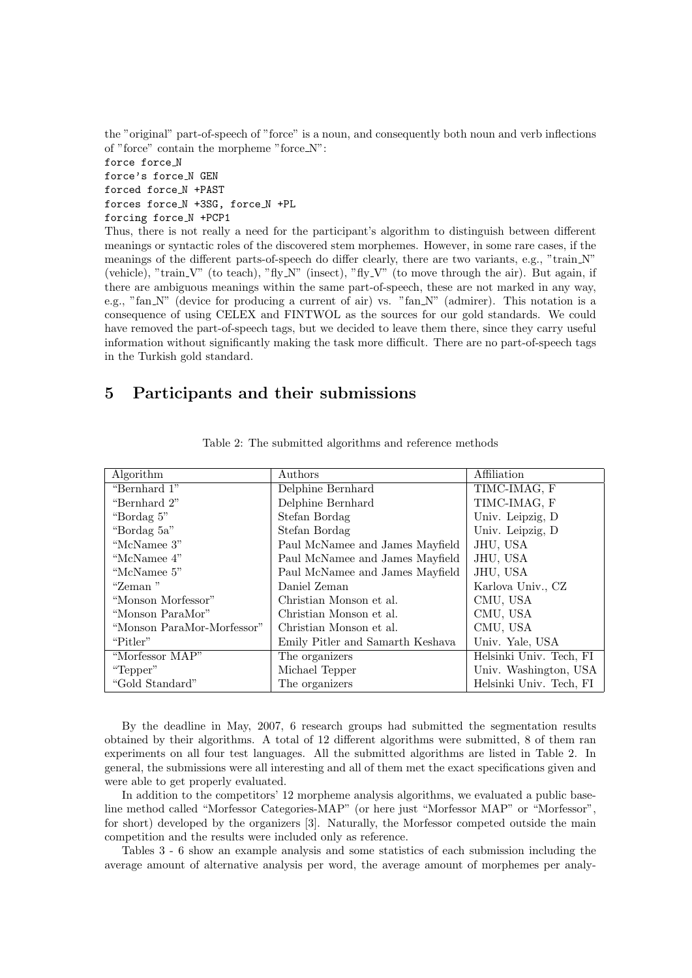```
the "original" part-of-speech of "force" is a noun, and consequently both noun and verb inflections
of "force" contain the morpheme "force N":
force force N
force's force_N GEN
forced force N +PAST
forces force N +3SG, force N +PL
forcing force N +PCP1
Thus, there is not really a need for the participant's algorithm to distinguish between different
meanings or syntactic roles of the discovered stem morphemes. However, in some rare cases, if the
meanings of the different parts-of-speech do differ clearly, there are two variants, e.g., "train N"
(vehicle), "train V" (to teach), "fly N" (insect), "fly V" (to move through the air). But again, if
there are ambiguous meanings within the same part-of-speech, these are not marked in any way,
e.g., "fan N" (device for producing a current of air) vs. "fan N" (admirer). This notation is a
consequence of using CELEX and FINTWOL as the sources for our gold standards. We could
```
have removed the part-of-speech tags, but we decided to leave them there, since they carry useful information without significantly making the task more difficult. There are no part-of-speech tags in the Turkish gold standard.

#### 5 Participants and their submissions

| Algorithm                  | Authors                          | Affiliation             |
|----------------------------|----------------------------------|-------------------------|
| "Bernhard $1$ "            | Delphine Bernhard                | TIMC-IMAG, F            |
| "Bernhard 2"               | Delphine Bernhard                | TIMC-IMAG, F            |
| "Bordag 5"                 | Stefan Bordag                    | Univ. Leipzig, D        |
| "Bordag 5a"                | Stefan Bordag                    | Univ. Leipzig, D        |
| "McNamee 3"                | Paul McNamee and James Mayfield  | JHU, USA                |
| "McNamee 4"                | Paul McNamee and James Mayfield  | JHU, USA                |
| "McNamee 5"                | Paul McNamee and James Mayfield  | JHU, USA                |
| "Zeman"                    | Daniel Zeman                     | Karlova Univ., CZ       |
| "Monson Morfessor"         | Christian Monson et al.          | CMU, USA                |
| "Monson ParaMor"           | Christian Monson et al.          | CMU, USA                |
| "Monson ParaMor-Morfessor" | Christian Monson et al.          | CMU, USA                |
| "Pitler"                   | Emily Pitler and Samarth Keshava | Univ. Yale, USA         |
| "Morfessor MAP"            | The organizers                   | Helsinki Univ. Tech, FI |
| "Tepper"                   | Michael Tepper                   | Univ. Washington, USA   |
| "Gold Standard"            | The organizers                   | Helsinki Univ. Tech, FI |

Table 2: The submitted algorithms and reference methods

By the deadline in May, 2007, 6 research groups had submitted the segmentation results obtained by their algorithms. A total of 12 different algorithms were submitted, 8 of them ran experiments on all four test languages. All the submitted algorithms are listed in Table 2. In general, the submissions were all interesting and all of them met the exact specifications given and were able to get properly evaluated.

In addition to the competitors' 12 morpheme analysis algorithms, we evaluated a public baseline method called "Morfessor Categories-MAP" (or here just "Morfessor MAP" or "Morfessor", for short) developed by the organizers [3]. Naturally, the Morfessor competed outside the main competition and the results were included only as reference.

Tables 3 - 6 show an example analysis and some statistics of each submission including the average amount of alternative analysis per word, the average amount of morphemes per analy-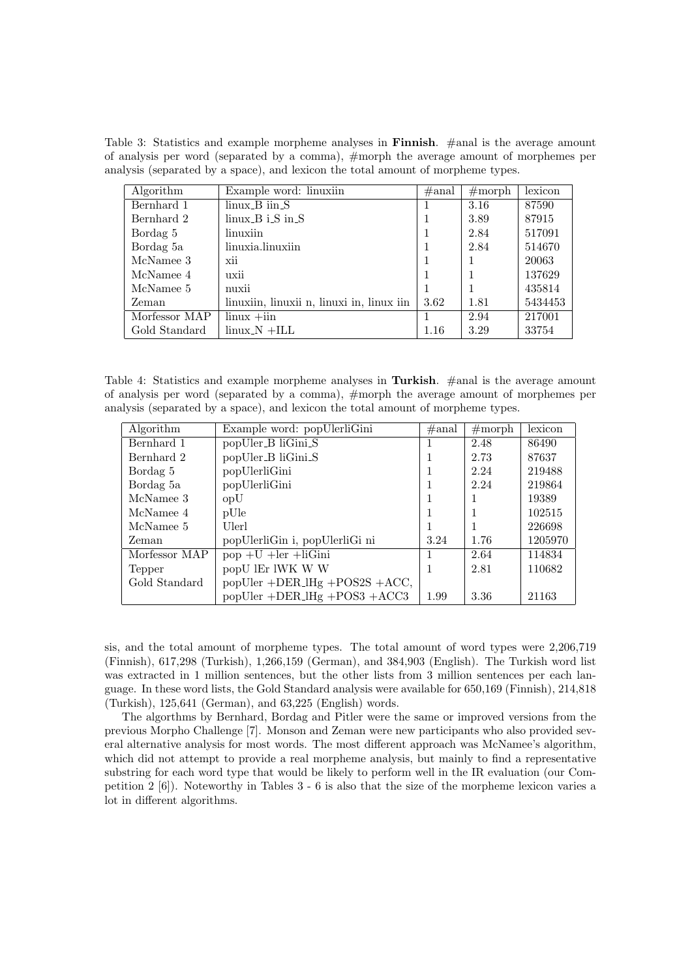Table 3: Statistics and example morpheme analyses in Finnish. #anal is the average amount of analysis per word (separated by a comma), #morph the average amount of morphemes per analysis (separated by a space), and lexicon the total amount of morpheme types.

| Algorithm     | Example word: linuxiin                    | $\#\text{anal}$ | #morph | lexicon |
|---------------|-------------------------------------------|-----------------|--------|---------|
| Bernhard 1    | $\lim_{x \to 0}$ $\lim_{x \to 0}$         | 1               | 3.16   | 87590   |
| Bernhard 2    | $\lim_{x \to B} i.S$ in $S$               | 1               | 3.89   | 87915   |
| Bordag 5      | linuxiin                                  | 1               | 2.84   | 517091  |
| Bordag 5a     | linuxia.linuxiin                          | 1               | 2.84   | 514670  |
| McNamee 3     | xii                                       | 1               |        | 20063   |
| McNamee 4     | uxii                                      |                 |        | 137629  |
| McNamee 5     | nuxii                                     |                 |        | 435814  |
| Zeman         | linuxiin, linuxii n, linuxi in, linux iin | 3.62            | 1.81   | 5434453 |
| Morfessor MAP | $\lim_{x \to \infty}$                     | 1               | 2.94   | 217001  |
| Gold Standard | $\text{limux\_N} + \text{ILL}$            | 1.16            | 3.29   | 33754   |

Table 4: Statistics and example morpheme analyses in Turkish. #anal is the average amount of analysis per word (separated by a comma), #morph the average amount of morphemes per analysis (separated by a space), and lexicon the total amount of morpheme types.

| Algorithm     | Example word: popUlerliGini        | $\#\text{anal}$ | #morph | lexicon |
|---------------|------------------------------------|-----------------|--------|---------|
| Bernhard 1    | popUler_B liGini_S                 |                 | 2.48   | 86490   |
| Bernhard 2    | popUler_B liGini_S                 |                 | 2.73   | 87637   |
| Bordag 5      | popUlerliGini                      |                 | 2.24   | 219488  |
| Bordag 5a     | popUlerliGini                      |                 | 2.24   | 219864  |
| McNamee 3     | opU                                |                 |        | 19389   |
| McNamee 4     | pUle                               |                 |        | 102515  |
| McNamee 5     | Ulerl                              |                 |        | 226698  |
| Zeman         | popUlerliGin i, popUlerliGi ni     | 3.24            | 1.76   | 1205970 |
| Morfessor MAP | $pop + U + let + liGini$           |                 | 2.64   | 114834  |
| Tepper        | popU lEr lWK W W                   |                 | 2.81   | 110682  |
| Gold Standard | $popUler + DER_IHg + POS2S + ACC,$ |                 |        |         |
|               | $popUler + DER_IHg + POS3 + ACC3$  | 1.99            | 3.36   | 21163   |

sis, and the total amount of morpheme types. The total amount of word types were 2,206,719 (Finnish), 617,298 (Turkish), 1,266,159 (German), and 384,903 (English). The Turkish word list was extracted in 1 million sentences, but the other lists from 3 million sentences per each language. In these word lists, the Gold Standard analysis were available for 650,169 (Finnish), 214,818 (Turkish), 125,641 (German), and 63,225 (English) words.

The algorthms by Bernhard, Bordag and Pitler were the same or improved versions from the previous Morpho Challenge [7]. Monson and Zeman were new participants who also provided several alternative analysis for most words. The most different approach was McNamee's algorithm, which did not attempt to provide a real morpheme analysis, but mainly to find a representative substring for each word type that would be likely to perform well in the IR evaluation (our Competition 2 [6]). Noteworthy in Tables 3 - 6 is also that the size of the morpheme lexicon varies a lot in different algorithms.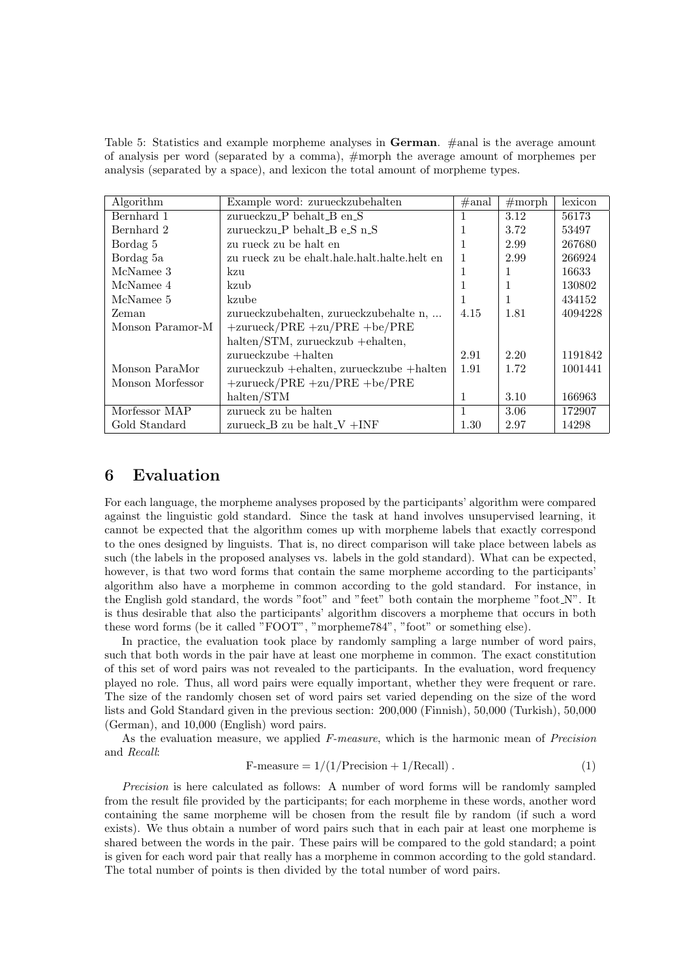Table 5: Statistics and example morpheme analyses in German. #anal is the average amount of analysis per word (separated by a comma), #morph the average amount of morphemes per analysis (separated by a space), and lexicon the total amount of morpheme types.

| Algorithm                                                | Example word: zurueckzubehalten              | $\#\text{anal}$ | $\#\mathrm{morph}$ | lexicon |
|----------------------------------------------------------|----------------------------------------------|-----------------|--------------------|---------|
| Bernhard 1                                               | zurueckzu_P behalt_B en_S                    | 1               | 3.12               | 56173   |
| Bernhard 2                                               | zurueckzu P behalt B e S $n S$               |                 | 3.72               | 53497   |
| Bordag 5                                                 | zu rueck zu be halt en                       | -1              | 2.99               | 267680  |
| Bordag 5a                                                | zu rueck zu be ehalt.hale.halt.halte.helt en | 1               | 2.99               | 266924  |
| McNamee 3                                                | kzu                                          |                 | 1                  | 16633   |
| McNamee 4                                                | kzub                                         |                 |                    | 130802  |
| McNamee 5                                                | kzube                                        |                 |                    | 434152  |
| Zeman                                                    | zurueckzubehalten, zurueckzubehalten,        | 4.15            | 1.81               | 4094228 |
| $+z$ urueck/PRE $+z$ u/PRE $+be/PRE$<br>Monson Paramor-M |                                              |                 |                    |         |
|                                                          | $halten/STM$ , zurueckzub +ehalten,          |                 |                    |         |
|                                                          | $z$ urueckzube $+$ halten                    | 2.91            | 2.20               | 1191842 |
| Monson ParaMor                                           | zurueckzub + ehalten, zurueckzube + halten   | 1.91            | 1.72               | 1001441 |
| Monson Morfessor                                         | $+z$ urueck/PRE $+z$ u/PRE $+be/PRE$         |                 |                    |         |
|                                                          | halten/STM                                   | 1               | 3.10               | 166963  |
| Morfessor MAP                                            | zurueck zu be halten                         |                 | 3.06               | 172907  |
| Gold Standard                                            | zurueck_B zu be halt_V $+$ INF               | 1.30            | 2.97               | 14298   |

### 6 Evaluation

For each language, the morpheme analyses proposed by the participants' algorithm were compared against the linguistic gold standard. Since the task at hand involves unsupervised learning, it cannot be expected that the algorithm comes up with morpheme labels that exactly correspond to the ones designed by linguists. That is, no direct comparison will take place between labels as such (the labels in the proposed analyses vs. labels in the gold standard). What can be expected, however, is that two word forms that contain the same morpheme according to the participants' algorithm also have a morpheme in common according to the gold standard. For instance, in the English gold standard, the words "foot" and "feet" both contain the morpheme "foot N". It is thus desirable that also the participants' algorithm discovers a morpheme that occurs in both these word forms (be it called "FOOT", "morpheme784", "foot" or something else).

In practice, the evaluation took place by randomly sampling a large number of word pairs, such that both words in the pair have at least one morpheme in common. The exact constitution of this set of word pairs was not revealed to the participants. In the evaluation, word frequency played no role. Thus, all word pairs were equally important, whether they were frequent or rare. The size of the randomly chosen set of word pairs set varied depending on the size of the word lists and Gold Standard given in the previous section: 200,000 (Finnish), 50,000 (Turkish), 50,000 (German), and 10,000 (English) word pairs.

As the evaluation measure, we applied F-measure, which is the harmonic mean of Precision and Recall:

$$
F-measure = 1/(1/Precision + 1/Recall). \tag{1}
$$

Precision is here calculated as follows: A number of word forms will be randomly sampled from the result file provided by the participants; for each morpheme in these words, another word containing the same morpheme will be chosen from the result file by random (if such a word exists). We thus obtain a number of word pairs such that in each pair at least one morpheme is shared between the words in the pair. These pairs will be compared to the gold standard; a point is given for each word pair that really has a morpheme in common according to the gold standard. The total number of points is then divided by the total number of word pairs.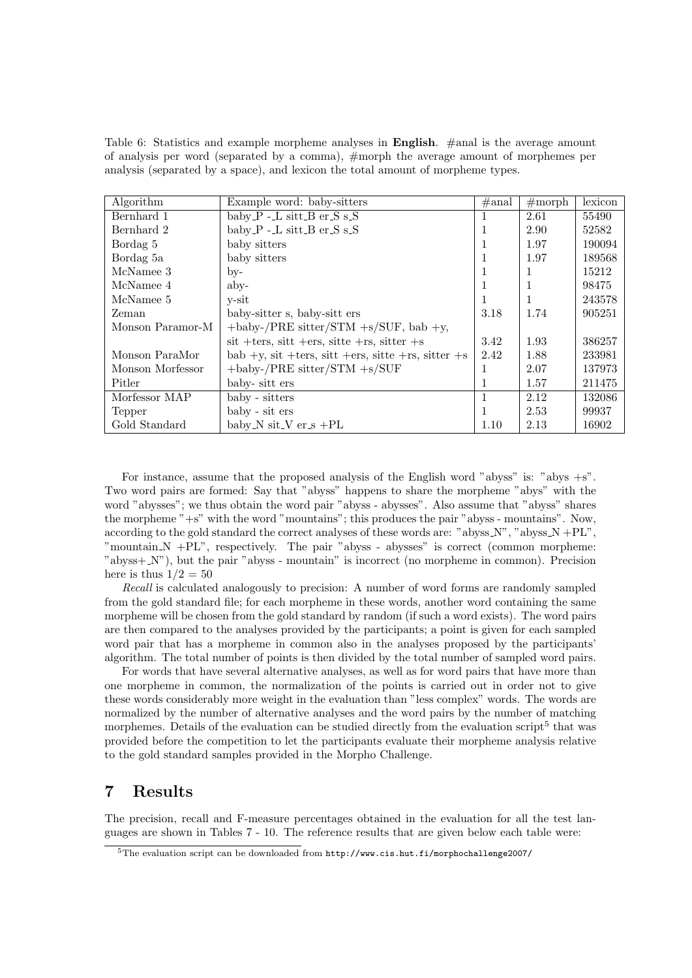Table 6: Statistics and example morpheme analyses in English. #anal is the average amount of analysis per word (separated by a comma), #morph the average amount of morphemes per analysis (separated by a space), and lexicon the total amount of morpheme types.

| Algorithm                                                 | Example word: baby-sitters                                 | $\#\text{anal}$ | $\#\text{morph}$ | lexicon |
|-----------------------------------------------------------|------------------------------------------------------------|-----------------|------------------|---------|
| Bernhard 1                                                | baby_P -_L sitt_B er_S s_S                                 | $\mathbf{1}$    | 2.61             | 55490   |
| Bernhard 2                                                | baby $P$ - $L$ sitt $B$ er $S$ s $S$                       |                 | 2.90             | 52582   |
| Bordag 5                                                  | baby sitters                                               |                 | 1.97             | 190094  |
| Bordag 5a                                                 | baby sitters                                               |                 | 1.97             | 189568  |
| McNamee 3                                                 | by-                                                        |                 |                  | 15212   |
| McNamee 4                                                 | aby-                                                       |                 |                  | 98475   |
| McNamee 5                                                 | y-sit                                                      |                 |                  | 243578  |
| Zeman                                                     | baby-sitter s, baby-sitt ers                               | 3.18            | 1.74             | 905251  |
| +baby-/PRE sitter/STM +s/SUF, bab +y,<br>Monson Paramor-M |                                                            |                 |                  |         |
|                                                           | $\text{s}$ it + ters, sitt + ers, sitte + rs, sitter + s   | 3.42            | 1.93             | 386257  |
| Monson ParaMor                                            | $bab + y$ , sit + ters, sitt + ers, sitte + rs, sitter + s | 2.42            | 1.88             | 233981  |
| Monson Morfessor                                          | $+\text{baby-}/\text{PRE}$ sitter/STM $+s/\text{SUF}$      | 1               | 2.07             | 137973  |
| Pitler                                                    | baby-sitt ers                                              |                 | 1.57             | 211475  |
| Morfessor MAP                                             | baby - sitters                                             | 1               | 2.12             | 132086  |
| Tepper                                                    | baby - sit ers                                             |                 | 2.53             | 99937   |
| Gold Standard                                             | baby $N \text{ sit}_V \text{ er } s + PL$                  | 1.10            | 2.13             | 16902   |

For instance, assume that the proposed analysis of the English word "abyss" is: "abys +s". Two word pairs are formed: Say that "abyss" happens to share the morpheme "abys" with the word "abysses"; we thus obtain the word pair "abyss - abysses". Also assume that "abyss" shares the morpheme "+s" with the word "mountains"; this produces the pair "abyss - mountains". Now, according to the gold standard the correct analyses of these words are: "abyss  $N$ ", "abyss  $N + PL$ ", "mountain  $N + PL$ ", respectively. The pair "abyss - abysses" is correct (common morpheme: "abyss+ N"), but the pair "abyss - mountain" is incorrect (no morpheme in common). Precision here is thus  $1/2 = 50$ 

Recall is calculated analogously to precision: A number of word forms are randomly sampled from the gold standard file; for each morpheme in these words, another word containing the same morpheme will be chosen from the gold standard by random (if such a word exists). The word pairs are then compared to the analyses provided by the participants; a point is given for each sampled word pair that has a morpheme in common also in the analyses proposed by the participants' algorithm. The total number of points is then divided by the total number of sampled word pairs.

For words that have several alternative analyses, as well as for word pairs that have more than one morpheme in common, the normalization of the points is carried out in order not to give these words considerably more weight in the evaluation than "less complex" words. The words are normalized by the number of alternative analyses and the word pairs by the number of matching morphemes. Details of the evaluation can be studied directly from the evaluation script<sup>5</sup> that was provided before the competition to let the participants evaluate their morpheme analysis relative to the gold standard samples provided in the Morpho Challenge.

### 7 Results

The precision, recall and F-measure percentages obtained in the evaluation for all the test languages are shown in Tables 7 - 10. The reference results that are given below each table were:

 ${\rm ^5The}$  evaluation script can be downloaded from  ${\tt http://www.cis.hut.fi/morphochallenge2007/}$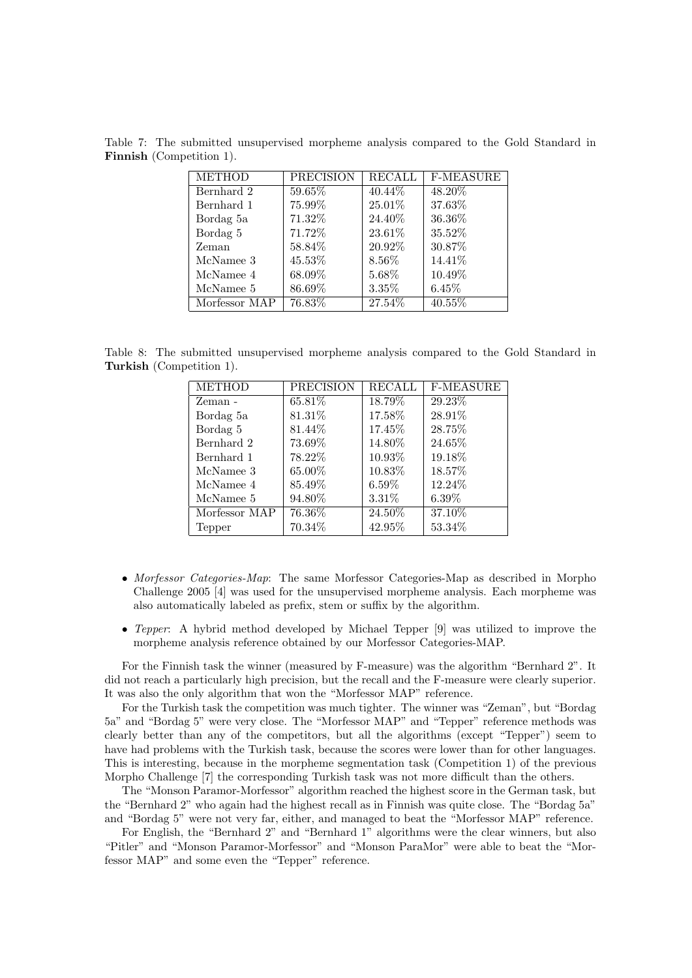Table 7: The submitted unsupervised morpheme analysis compared to the Gold Standard in Finnish (Competition 1).

| <b>METHOD</b> | PRECISION | <b>RECALL</b> | <b>F-MEASURE</b> |
|---------------|-----------|---------------|------------------|
| Bernhard 2    | 59.65%    | 40.44\%       | 48.20%           |
| Bernhard 1    | 75.99%    | 25.01%        | 37.63%           |
| Bordag 5a     | 71.32%    | 24.40%        | 36.36%           |
| Bordag 5      | 71.72%    | 23.61\%       | 35.52%           |
| Zeman         | 58.84%    | 20.92%        | 30.87%           |
| McNamee 3     | 45.53%    | 8.56%         | 14.41\%          |
| McNamee 4     | 68.09%    | 5.68%         | 10.49%           |
| McNamee 5     | 86.69%    | 3.35%         | 6.45%            |
| Morfessor MAP | 76.83%    | 27.54%        | 40.55%           |

Table 8: The submitted unsupervised morpheme analysis compared to the Gold Standard in Turkish (Competition 1).

| <b>METHOD</b> | <b>PRECISION</b> | <b>RECALL</b> | <b>F-MEASURE</b> |
|---------------|------------------|---------------|------------------|
|               |                  |               |                  |
| Zeman -       | 65.81%           | 18.79%        | 29.23%           |
| Bordag 5a     | 81.31\%          | 17.58%        | 28.91%           |
| Bordag 5      | 81.44\%          | 17.45%        | 28.75%           |
| Bernhard 2    | 73.69%           | 14.80%        | 24.65%           |
| Bernhard 1    | 78.22%           | 10.93%        | 19.18%           |
| McNamee 3     | 65.00%           | 10.83%        | 18.57%           |
| McNamee 4     | 85.49%           | $6.59\%$      | 12.24\%          |
| McNamee 5     | 94.80%           | 3.31%         | $6.39\%$         |
| Morfessor MAP | 76.36%           | 24.50%        | 37.10%           |
| Tepper        | $70.34\%$        | 42.95%        | 53.34%           |

- Morfessor Categories-Map: The same Morfessor Categories-Map as described in Morpho Challenge 2005 [4] was used for the unsupervised morpheme analysis. Each morpheme was also automatically labeled as prefix, stem or suffix by the algorithm.
- Tepper: A hybrid method developed by Michael Tepper [9] was utilized to improve the morpheme analysis reference obtained by our Morfessor Categories-MAP.

For the Finnish task the winner (measured by F-measure) was the algorithm "Bernhard 2". It did not reach a particularly high precision, but the recall and the F-measure were clearly superior. It was also the only algorithm that won the "Morfessor MAP" reference.

For the Turkish task the competition was much tighter. The winner was "Zeman", but "Bordag 5a" and "Bordag 5" were very close. The "Morfessor MAP" and "Tepper" reference methods was clearly better than any of the competitors, but all the algorithms (except "Tepper") seem to have had problems with the Turkish task, because the scores were lower than for other languages. This is interesting, because in the morpheme segmentation task (Competition 1) of the previous Morpho Challenge [7] the corresponding Turkish task was not more difficult than the others.

The "Monson Paramor-Morfessor" algorithm reached the highest score in the German task, but the "Bernhard 2" who again had the highest recall as in Finnish was quite close. The "Bordag 5a" and "Bordag 5" were not very far, either, and managed to beat the "Morfessor MAP" reference.

For English, the "Bernhard 2" and "Bernhard 1" algorithms were the clear winners, but also "Pitler" and "Monson Paramor-Morfessor" and "Monson ParaMor" were able to beat the "Morfessor MAP" and some even the "Tepper" reference.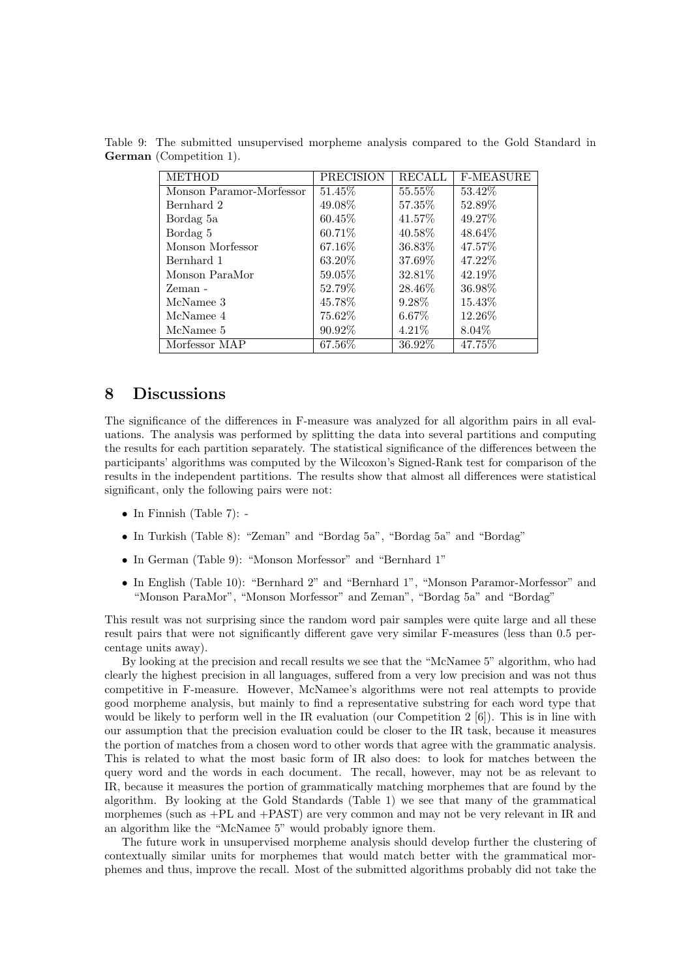| <b>METHOD</b>            | <b>PRECISION</b> | <b>RECALL</b> | <b>F-MEASURE</b> |
|--------------------------|------------------|---------------|------------------|
| Monson Paramor-Morfessor | 51.45%           | 55.55%        | 53.42\%          |
| Bernhard 2               | 49.08%           | 57.35\%       | 52.89%           |
| Bordag 5a                | $60.45\%$        | 41.57%        | 49.27%           |
| Bordag 5                 | 60.71\%          | 40.58%        | 48.64\%          |
| Monson Morfessor         | 67.16\%          | 36.83\%       | 47.57\%          |
| Bernhard 1               | 63.20%           | 37.69%        | 47.22\%          |
| Monson ParaMor           | 59.05%           | 32.81\%       | 42.19%           |
| Zeman -                  | 52.79%           | 28.46\%       | 36.98%           |
| McNamee 3                | 45.78%           | $9.28\%$      | 15.43\%          |
| McNamee 4                | 75.62%           | $6.67\%$      | 12.26\%          |
| McNamee 5                | 90.92\%          | 4.21\%        | 8.04\%           |
| Morfessor MAP            | $67.56\%$        | $36.92\%$     | 47.75%           |

Table 9: The submitted unsupervised morpheme analysis compared to the Gold Standard in German (Competition 1).

### 8 Discussions

The significance of the differences in F-measure was analyzed for all algorithm pairs in all evaluations. The analysis was performed by splitting the data into several partitions and computing the results for each partition separately. The statistical significance of the differences between the participants' algorithms was computed by the Wilcoxon's Signed-Rank test for comparison of the results in the independent partitions. The results show that almost all differences were statistical significant, only the following pairs were not:

- $\bullet$  In Finnish (Table 7): -
- In Turkish (Table 8): "Zeman" and "Bordag 5a", "Bordag 5a" and "Bordag"
- In German (Table 9): "Monson Morfessor" and "Bernhard 1"
- In English (Table 10): "Bernhard 2" and "Bernhard 1", "Monson Paramor-Morfessor" and "Monson ParaMor", "Monson Morfessor" and Zeman", "Bordag 5a" and "Bordag"

This result was not surprising since the random word pair samples were quite large and all these result pairs that were not significantly different gave very similar F-measures (less than 0.5 percentage units away).

By looking at the precision and recall results we see that the "McNamee 5" algorithm, who had clearly the highest precision in all languages, suffered from a very low precision and was not thus competitive in F-measure. However, McNamee's algorithms were not real attempts to provide good morpheme analysis, but mainly to find a representative substring for each word type that would be likely to perform well in the IR evaluation (our Competition 2 [6]). This is in line with our assumption that the precision evaluation could be closer to the IR task, because it measures the portion of matches from a chosen word to other words that agree with the grammatic analysis. This is related to what the most basic form of IR also does: to look for matches between the query word and the words in each document. The recall, however, may not be as relevant to IR, because it measures the portion of grammatically matching morphemes that are found by the algorithm. By looking at the Gold Standards (Table 1) we see that many of the grammatical morphemes (such as  $+PL$  and  $+PAST$ ) are very common and may not be very relevant in IR and an algorithm like the "McNamee 5" would probably ignore them.

The future work in unsupervised morpheme analysis should develop further the clustering of contextually similar units for morphemes that would match better with the grammatical morphemes and thus, improve the recall. Most of the submitted algorithms probably did not take the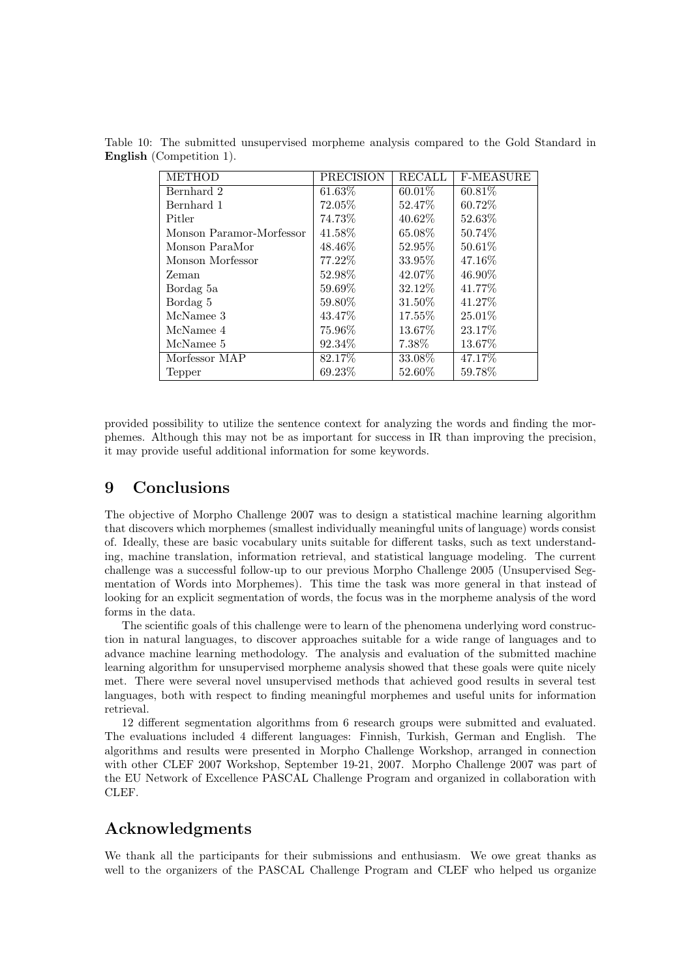| <b>METHOD</b>            | <b>PRECISION</b> | <b>RECALL</b> | F-MEASURE |
|--------------------------|------------------|---------------|-----------|
| Bernhard 2               | $61.63\%$        | 60.01\%       | 60.81\%   |
| Bernhard 1               | 72.05%           | 52.47\%       | 60.72%    |
| Pitler                   | 74.73%           | 40.62\%       | 52.63%    |
| Monson Paramor-Morfessor | 41.58%           | 65.08%        | 50.74%    |
| Monson ParaMor           | 48.46%           | 52.95%        | 50.61%    |
| Monson Morfessor         | 77.22%           | 33.95%        | 47.16\%   |
| Zeman                    | 52.98%           | 42.07\%       | $46.90\%$ |
| Bordag 5a                | 59.69%           | 32.12\%       | 41.77%    |
| Bordag 5                 | 59.80\%          | 31.50%        | 41.27%    |
| McNamee 3                | 43.47\%          | 17.55\%       | $25.01\%$ |
| McNamee 4                | 75.96%           | 13.67%        | 23.17\%   |
| McNamee 5                | 92.34\%          | $7.38\%$      | 13.67%    |
| Morfessor MAP            | 82.17%           | 33.08%        | 47.17%    |
| Tepper                   | 69.23%           | 52.60%        | 59.78%    |

Table 10: The submitted unsupervised morpheme analysis compared to the Gold Standard in English (Competition 1).

provided possibility to utilize the sentence context for analyzing the words and finding the morphemes. Although this may not be as important for success in IR than improving the precision, it may provide useful additional information for some keywords.

### 9 Conclusions

The objective of Morpho Challenge 2007 was to design a statistical machine learning algorithm that discovers which morphemes (smallest individually meaningful units of language) words consist of. Ideally, these are basic vocabulary units suitable for different tasks, such as text understanding, machine translation, information retrieval, and statistical language modeling. The current challenge was a successful follow-up to our previous Morpho Challenge 2005 (Unsupervised Segmentation of Words into Morphemes). This time the task was more general in that instead of looking for an explicit segmentation of words, the focus was in the morpheme analysis of the word forms in the data.

The scientific goals of this challenge were to learn of the phenomena underlying word construction in natural languages, to discover approaches suitable for a wide range of languages and to advance machine learning methodology. The analysis and evaluation of the submitted machine learning algorithm for unsupervised morpheme analysis showed that these goals were quite nicely met. There were several novel unsupervised methods that achieved good results in several test languages, both with respect to finding meaningful morphemes and useful units for information retrieval.

12 different segmentation algorithms from 6 research groups were submitted and evaluated. The evaluations included 4 different languages: Finnish, Turkish, German and English. The algorithms and results were presented in Morpho Challenge Workshop, arranged in connection with other CLEF 2007 Workshop, September 19-21, 2007. Morpho Challenge 2007 was part of the EU Network of Excellence PASCAL Challenge Program and organized in collaboration with CLEF.

# Acknowledgments

We thank all the participants for their submissions and enthusiasm. We owe great thanks as well to the organizers of the PASCAL Challenge Program and CLEF who helped us organize